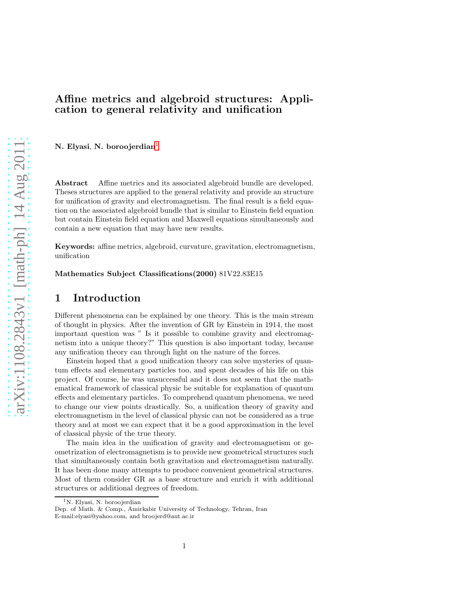### Affine metrics and algebroid structures: Application to general relativity and unification

N. Elyasi, N. boroojerdian<sup>[1](#page-0-0)</sup>

Abstract Affine metrics and its associated algebroid bundle are developed. Theses structures are applied to the general relativity and provide an structure for unification of gravity and electromagnetism. The final result is a field equation on the associated algebroid bundle that is similar to Einstein field equation but contain Einstein field equation and Maxwell equations simultaneously and contain a new equation that may have new results.

Keywords: affine metrics, algebroid, curvature, gravitation, electromagnetism, unification

Mathematics Subject Classifications(2000) 81V22.83E15

# 1 Introduction

Different phenomena can be explained by one theory. This is the main stream of thought in physics. After the invention of GR by Einstein in 1914, the most important question was " Is it possible to combine gravity and electromagnetism into a unique theory?" This question is also important today, because any unification theory can through light on the nature of the forces.

Einstein hoped that a good unification theory can solve mysteries of quantum effects and elementary particles too, and spent decades of his life on this project. Of course, he was unsuccessful and it does not seem that the mathematical framework of classical physic be suitable for explanation of quantum effects and elementary particles. To comprehend quantum phenomena, we need to change our view points drastically. So, a unification theory of gravity and electromagnetism in the level of classical physic can not be considered as a true theory and at most we can expect that it be a good approximation in the level of classical physic of the true theory.

The main idea in the unification of gravity and electromagnetism or geometrization of electromagnetism is to provide new geometrical structures such that simultaneously contain both gravitation and electromagnetism naturally. It has been done many attempts to produce convenient geometrical structures. Most of them consider GR as a base structure and enrich it with additional structures or additional degrees of freedom.

<span id="page-0-0"></span><sup>&</sup>lt;sup>1</sup>N. Elyasi, N. boroojerdian

Dep. of Math. & Comp., Amirkabir University of Technology, Tehran, Iran E-mail:elyasi@yahoo.com, and broojerd@aut.ac.ir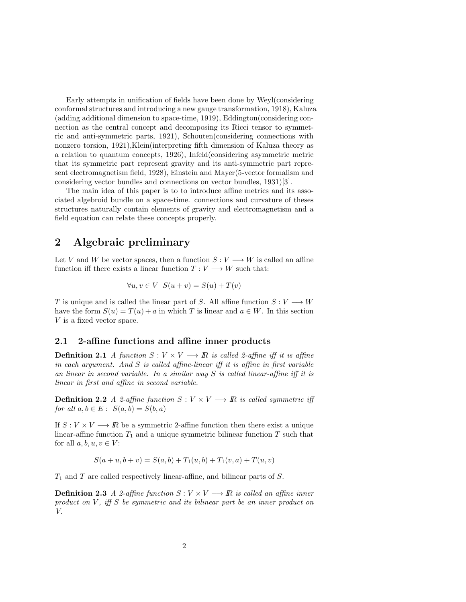Early attempts in unification of fields have been done by Weyl(considering conformal structures and introducing a new gauge transformation, 1918), Kaluza (adding additional dimension to space-time, 1919), Eddington(considering connection as the central concept and decomposing its Ricci tensor to symmetric and anti-symmetric parts, 1921), Schouten(considering connections with nonzero torsion, 1921),Klein(interpreting fifth dimension of Kaluza theory as a relation to quantum concepts, 1926), Infeld(considering asymmetric metric that its symmetric part represent gravity and its anti-symmetric part represent electromagnetism field, 1928), Einstein and Mayer(5-vector formalism and considering vector bundles and connections on vector bundles, 1931)[3].

The main idea of this paper is to to introduce affine metrics and its associated algebroid bundle on a space-time. connections and curvature of theses structures naturally contain elements of gravity and electromagnetism and a field equation can relate these concepts properly.

### 2 Algebraic preliminary

Let V and W be vector spaces, then a function  $S: V \longrightarrow W$  is called an affine function iff there exists a linear function  $T: V \longrightarrow W$  such that:

$$
\forall u, v \in V \ \ S(u+v) = S(u) + T(v)
$$

T is unique and is called the linear part of S. All affine function  $S: V \longrightarrow W$ have the form  $S(u) = T(u) + a$  in which T is linear and  $a \in W$ . In this section V is a fixed vector space.

#### 2.1 2-affine functions and affine inner products

**Definition 2.1** A function  $S: V \times V \longrightarrow \mathbb{R}$  is called 2-affine iff it is affine in each argument. And  $S$  is called affine-linear iff it is affine in first variable an linear in second variable. In a similar way S is called linear-affine iff it is linear in first and affine in second variable.

**Definition 2.2** A 2-affine function  $S: V \times V \longrightarrow \mathbb{R}$  is called symmetric iff for all  $a, b \in E$ :  $S(a, b) = S(b, a)$ 

If  $S: V \times V \longrightarrow \mathbb{R}$  be a symmetric 2-affine function then there exist a unique linear-affine function  $T_1$  and a unique symmetric bilinear function  $T$  such that for all  $a, b, u, v \in V$ :

$$
S(a + u, b + v) = S(a, b) + T_1(u, b) + T_1(v, a) + T(u, v)
$$

 $T_1$  and  $T$  are called respectively linear-affine, and bilinear parts of  $S$ .

**Definition 2.3** A 2-affine function  $S: V \times V \longrightarrow \mathbb{R}$  is called an affine inner product on  $V$ , iff  $S$  be symmetric and its bilinear part be an inner product on V.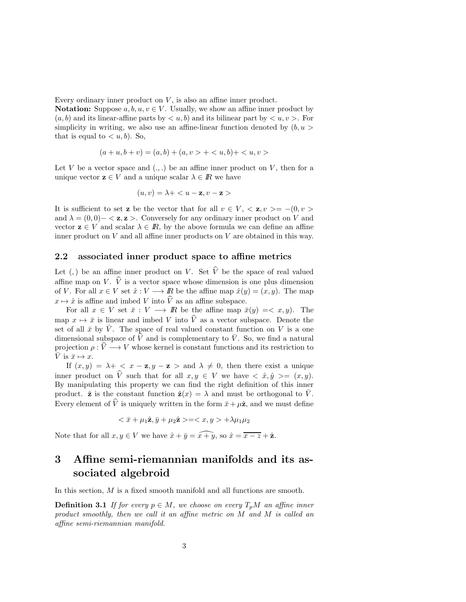Every ordinary inner product on  $V$ , is also an affine inner product.

**Notation:** Suppose  $a, b, u, v \in V$ . Usually, we show an affine inner product by  $(a, b)$  and its linear-affine parts by  $\langle u, b \rangle$  and its bilinear part by  $\langle u, v \rangle$ . For simplicity in writing, we also use an affine-linear function denoted by  $(b, u >$ that is equal to  $\langle u, b \rangle$ . So,

$$
(a+u,b+v) = (a,b) + (a,v > + )+
$$

Let V be a vector space and  $(.,.)$  be an affine inner product on V, then for a unique vector  $z \in V$  and a unique scalar  $\lambda \in \mathbb{R}$  we have

$$
(u, v) = \lambda + \langle u - \mathbf{z}, v - \mathbf{z} \rangle
$$

It is sufficient to set **z** be the vector that for all  $v \in V$ ,  $\langle \mathbf{z}, v \rangle = - (0, v \rangle)$ and  $\lambda = (0, 0) - \langle z, z \rangle$ . Conversely for any ordinary inner product on V and vector  $z \in V$  and scalar  $\lambda \in I\!\!R$ , by the above formula we can define an affine inner product on  $V$  and all affine inner products on  $V$  are obtained in this way.

#### 2.2 associated inner product space to affine metrics

Let (,) be an affine inner product on V. Set  $\hat{V}$  be the space of real valued affine map on V.  $\hat{V}$  is a vector space whose dimension is one plus dimension of V. For all  $x \in V$  set  $\hat{x}: V \longrightarrow \mathbb{R}$  be the affine map  $\hat{x}(y) = (x, y)$ . The map  $x \mapsto \hat{x}$  is affine and imbed V into  $\hat{V}$  as an affine subspace.

For all  $x \in V$  set  $\bar{x}: V \longrightarrow \mathbb{R}$  be the affine map  $\bar{x}(y) = \langle x, y \rangle$ . The map  $x \mapsto \bar{x}$  is linear and imbed V into  $\hat{V}$  as a vector subspace. Denote the set of all  $\bar{x}$  by  $\bar{V}$ . The space of real valued constant function on V is a one dimensional subspace of  $\hat{V}$  and is complementary to  $\overline{V}$ . So, we find a natural projection  $\rho : \hat{V} \longrightarrow V$  whose kernel is constant functions and its restriction to  $\overline{V}$  is  $\overline{x} \mapsto x$ .

If  $(x, y) = \lambda + \langle x - z, y - z \rangle$  and  $\lambda \neq 0$ , then there exist a unique inner product on  $\hat{V}$  such that for all  $x, y \in V$  we have  $\langle \hat{x}, \hat{y} \rangle = (x, y)$ . By manipulating this property we can find the right definition of this inner product.  $\hat{\mathbf{z}}$  is the constant function  $\hat{\mathbf{z}}(x) = \lambda$  and must be orthogonal to  $\bar{V}$ . Every element of  $\hat{V}$  is uniquely written in the form  $\bar{x} + \mu \hat{z}$ , and we must define

$$
\langle \bar{x} + \mu_1 \hat{\mathbf{z}}, \bar{y} + \mu_2 \hat{\mathbf{z}} \rangle = \langle x, y \rangle + \lambda \mu_1 \mu_2
$$

Note that for all  $x, y \in V$  we have  $\hat{x} + \bar{y} = x + \hat{y}$ , so  $\hat{x} = \overline{x - z} + \hat{z}$ .

# 3 Affine semi-riemannian manifolds and its associated algebroid

In this section, M is a fixed smooth manifold and all functions are smooth.

**Definition 3.1** If for every  $p \in M$ , we choose on every  $T_pM$  an affine inner product smoothly, then we call it an affine metric on M and M is called an affine semi-riemannian manifold.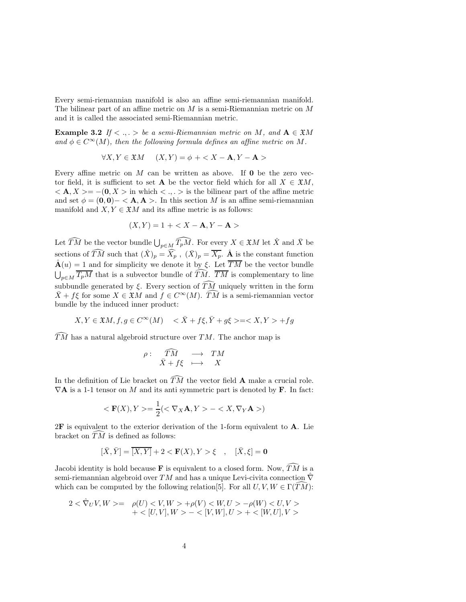Every semi-riemannian manifold is also an affine semi-riemannian manifold. The bilinear part of an affine metric on  $M$  is a semi-Riemannian metric on  $M$ and it is called the associated semi-Riemannian metric.

**Example 3.2** If  $\langle \cdot, \cdot \rangle$  be a semi-Riemannian metric on M, and  $A \in \mathfrak{X}M$ and  $\phi \in C^{\infty}(M)$ , then the following formula defines an affine metric on M.

$$
\forall X, Y \in \mathfrak{X}M \quad (X, Y) = \phi + \langle X - \mathbf{A}, Y - \mathbf{A} \rangle
$$

Every affine metric on  $M$  can be written as above. If  $\mathbf 0$  be the zero vector field, it is sufficient to set **A** be the vector field which for all  $X \in \mathfrak{X}M$ ,  $\langle A, X \rangle = -(0, X \rangle$  in which  $\langle \cdot, \cdot \rangle$  is the bilinear part of the affine metric and set  $\phi = (0, 0) - \langle A, A \rangle$ . In this section M is an affine semi-riemannian manifold and  $X, Y \in \mathfrak{X}M$  and its affine metric is as follows:

$$
(X,Y) = 1 +
$$

Let  $\widehat{TM}$  be the vector bundle  $\bigcup_{p\in M}\widehat{T_pM}$ . For every  $X\in \mathfrak{X}M$  let  $\hat{X}$  and  $\bar{X}$  be sections of  $\widehat{T}M$  such that  $(\hat{X})_p = \widehat{X}_p$ ,  $(\bar{X})_p = \overline{X_p}$ .  $\hat{A}$  is the constant function  $\hat{A}(u) = 1$  and for simplicity we denote it by ξ. Let  $\overline{TM}$  be the vector bundle  $\bigcup_{p\in M} \overline{T_pM}$  that is a subvector bundle of  $\widehat{TM}$ .  $\overline{TM}$  is complementary to line subbundle generated by  $\xi$ . Every section of  $\widehat{T}M$  uniquely written in the form  $\bar{X} + f\xi$  for some  $X \in \mathfrak{X}M$  and  $f \in C^{\infty}(M)$ . TM is a semi-riemannian vector bundle by the induced inner product:

$$
X, Y \in \mathfrak{X}M, f, g \in C^{\infty}(M) \quad \langle \bar{X} + f\xi, \bar{Y} + g\xi \rangle = \langle X, Y \rangle + fg
$$

 $T\overline{M}$  has a natural algebroid structure over TM. The anchor map is

$$
\rho: \quad \widehat{T}M \quad \longrightarrow \quad TM \\ \bar{X} + f\xi \quad \longmapsto \quad X
$$

In the definition of Lie bracket on  $\widehat{TM}$  the vector field **A** make a crucial role.  $\nabla$ **A** is a 1-1 tensor on M and its anti-symmetric part is denoted by **F**. In fact:

$$
\langle \mathbf{F}(X), Y \rangle = \frac{1}{2} (\langle \nabla_X \mathbf{A}, Y \rangle - \langle X, \nabla_Y \mathbf{A} \rangle)
$$

 $2F$  is equivalent to the exterior derivation of the 1-form equivalent to  $A$ . Lie bracket on  $\overline{T}\overline{M}$  is defined as follows:

$$
[\bar X,\bar Y]=\overline{[X,Y]}+2<\mathbf{F}(X),Y>\xi \quad,\quad [\bar X,\xi]=\mathbf{0}
$$

Jacobi identity is hold because **F** is equivalent to a closed form. Now,  $\widehat{TM}$  is a semi-riemannian algebroid over TM and has a unique Levi-civita connection  $\hat{\nabla}$ which can be computed by the following relation [5]. For all  $U, V, W \in \Gamma(TM)$ :

$$
\begin{array}{ll} 2<\hat{\nabla}_U V,W> = & \rho(U) < V,W> + \rho(V) < W,U> - \rho(W) < U,V> \\&+ <[U,V],W> - <[V,W],U> + <[W,U],V> \end{array}
$$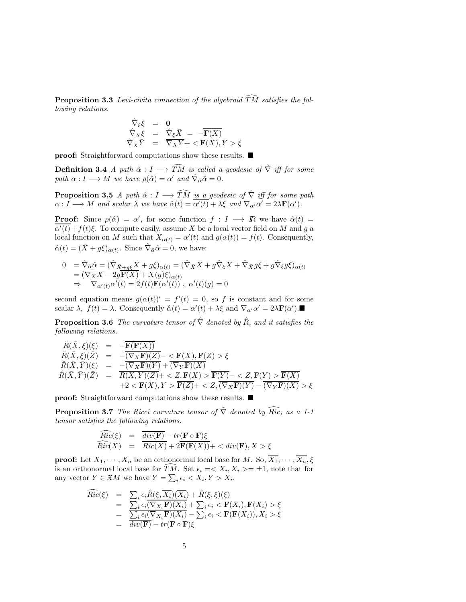**Proposition 3.3** Levi-civita connection of the algebroid  $\widehat{T}M$  satisfies the following relations.

$$
\begin{array}{rcl}\n\hat{\nabla}_{\xi}\xi & = & \mathbf{0} \\
\hat{\nabla}_{\bar{X}}\xi & = & \hat{\nabla}_{\xi}\bar{X} = -\overline{\mathbf{F}(X)} \\
\hat{\nabla}_{\bar{X}}\bar{Y} & = & \overline{\nabla}_{X}\bar{Y} + \langle \mathbf{F}(X), Y \rangle \xi\n\end{array}
$$

**proof:** Straightforward computations show these results. ■

**Definition 3.4** A path  $\hat{\alpha}: I \longrightarrow \widehat{T}M$  is called a geodesic of  $\hat{\nabla}$  iff for some path  $\alpha: I \longrightarrow M$  we have  $\rho(\hat{\alpha}) = \alpha'$  and  $\hat{\nabla}_{\hat{\alpha}} \hat{\alpha} = 0$ .

**Proposition 3.5** A path  $\hat{\alpha}: I \longrightarrow \widehat{T}M$  is a geodesic of  $\hat{\nabla}$  iff for some path  $\alpha: I \longrightarrow M$  and scalar  $\lambda$  we have  $\hat{\alpha}(t) = \overline{\alpha'(t)} + \lambda \xi$  and  $\nabla_{\alpha'} \alpha' = 2\lambda \mathbf{F}(\alpha').$ 

**Proof:** Since  $\rho(\hat{\alpha}) = \alpha'$ , for some function  $f : I \longrightarrow \mathbb{R}$  we have  $\hat{\alpha}(t) =$  $\overline{\alpha'(t)}+f(t)\xi$ . To compute easily, assume X be a local vector field on M and g a local function on M such that  $X_{\alpha(t)} = \alpha'(t)$  and  $g(\alpha(t)) = f(t)$ . Consequently,  $\hat{\alpha}(t) = (\bar{X} + g\xi)_{\alpha(t)}$ . Since  $\hat{\nabla}_{\hat{\alpha}}\hat{\alpha} = 0$ , we have:

$$
0 = \hat{\nabla}_{\hat{\alpha}} \hat{\alpha} = (\hat{\nabla}_{\bar{X} + g\xi} \bar{X} + g\xi)_{\alpha(t)} = (\hat{\nabla}_{\bar{X}} \bar{X} + g\hat{\nabla}_{\xi} \bar{X} + \hat{\nabla}_{\bar{X}} g\xi + g\hat{\nabla}_{\xi} g\xi)_{\alpha(t)}
$$
  
\n
$$
= (\overline{\nabla}_{\bar{X}} \bar{X} - 2g\overline{\mathbf{F}}(\bar{X}) + X(g)\xi)_{\alpha(t)}
$$
  
\n
$$
\Rightarrow \nabla_{\alpha'(t)} \alpha'(t) = 2f(t)\overline{\mathbf{F}}(\alpha'(t)), \ \alpha'(t)(g) = 0
$$

second equation means  $g(\alpha(t))' = f'(t) = 0$ , so f is constant and for some scalar  $\lambda$ ,  $f(t) = \lambda$ . Consequently  $\hat{\alpha}(t) = \overline{\alpha'(t)} + \lambda \xi$  and  $\nabla_{\alpha'} \alpha' = 2\lambda \mathbf{F}(\alpha')$ .

**Proposition 3.6** The curvature tensor of  $\hat{\nabla}$  denoted by  $\hat{R}$ , and it satisfies the following relations.

$$
\begin{array}{rcl}\n\hat{R}(\bar{X},\xi)(\xi) & = & -\overline{\mathbf{F}(\mathbf{F}(X))} \\
\hat{R}(\bar{X},\xi)(\bar{Z}) & = & -\overline{(\nabla_X\mathbf{F})(Z)} - \langle \mathbf{F}(X),\mathbf{F}(Z) \rangle \xi \\
\hat{R}(\bar{X},\bar{Y})(\xi) & = & -\overline{(\nabla_X\mathbf{F})(Y)} + (\nabla_Y\mathbf{F})(X) \\
\hat{R}(\bar{X},\bar{Y})(\bar{Z}) & = & \overline{R(X,Y)(Z)} + \langle Z,\mathbf{F}(X) \rangle \overline{\mathbf{F}(Y)} - \langle Z,\mathbf{F}(Y) \rangle \overline{\mathbf{F}(X)} \\
& & +2 < \mathbf{F}(X), Y > \overline{\mathbf{F}(Z)} + \langle Z, (\overline{\nabla_X\mathbf{F})(Y) - (\nabla_Y\mathbf{F})(X) \rangle} \rangle \xi\n\end{array}
$$

proof: Straightforward computations show these results. ■

**Proposition 3.7** The Ricci curvature tensor of  $\hat{\nabla}$  denoted by  $\widehat{Ric}$ , as a 1-1 tensor satisfies the following relations.

$$
\begin{array}{rcl}\n\widehat{Ric}(\xi) & = & \frac{\overline{div(\mathbf{F})} - tr(\mathbf{F} \circ \mathbf{F})\xi}{\overline{Ric}(\overline{X})} \\
& = & \frac{\overline{Ric(X)} + 2\overline{\mathbf{F}(\mathbf{F}(X))}}{\overline{\mathbf{F}(\mathbf{F}(X))}} + \langle \operatorname{div}(\mathbf{F}), X \rangle \xi\n\end{array}
$$

**proof:** Let  $X_1, \dots, X_n$  be an orthonormal local base for M. So,  $\overline{X_1}, \dots, \overline{X_n}, \xi$ is an orthonormal local base for TM. Set  $\epsilon_i = \langle X_i, X_i \rangle = \pm 1$ , note that for any vector  $Y \in \mathfrak{X}M$  we have  $Y = \sum_i \epsilon_i < X_i, Y > X_i$ .

$$
\begin{array}{rcl}\n\widehat{Ric}(\xi) & = & \sum_i \epsilon_i \hat{R}(\xi, \overline{X_i})(\overline{X_i}) + \hat{R}(\xi, \xi)(\xi) \\
& = & \sum_i \epsilon_i (\nabla_{X_i} \mathbf{F})(X_i) + \sum_i \epsilon_i < \mathbf{F}(X_i), \mathbf{F}(X_i) > \xi \\
& = & \frac{\sum_i \epsilon_i (\nabla_{X_i} \mathbf{F})(X_i) - \sum_i \epsilon_i < \mathbf{F}(\mathbf{F}(X_i)), X_i > \xi \\
& = & \operatorname{div}(\mathbf{F}) - \operatorname{tr}(\mathbf{F} \circ \mathbf{F}) \xi\n\end{array}
$$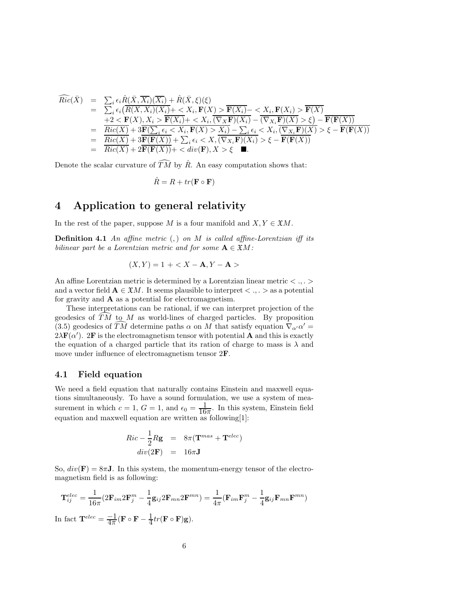$$
\begin{array}{rcl}\n\widehat{Ric}(\bar{X}) & = & \sum_i \epsilon_i \hat{R}(\bar{X}, \overline{X_i})(\overline{X_i}) + \hat{R}(\bar{X}, \xi)(\xi) \\
& = & \sum_i \epsilon_i \left( \overline{R(X, X_i)(X_i)} + \langle X_i, \mathbf{F}(X) \rangle \right) \overline{\mathbf{F}(X_i)} - \langle X_i, \mathbf{F}(X_i) \rangle \overline{\mathbf{F}(X)} \\
& + 2 < \mathbf{F}(X), X_i > \overline{\mathbf{F}(X_i)} + \langle X_i, (\nabla_X \mathbf{F})(X_i) - (\nabla_{X_i} \mathbf{F})(X) \rangle \langle \xi \rangle \right) - \overline{\mathbf{F}(\mathbf{F}(X))} \\
& = & \frac{\overline{Ric(X)} + 3\overline{\mathbf{F}(\sum_i \epsilon_i \langle X_i, \mathbf{F}(X) \rangle \langle X_i, \sum_i \epsilon_i \langle X_i, \overline{(\nabla_{X_i} \mathbf{F})(X)} \rangle \langle \xi \rangle - \overline{\mathbf{F}(\mathbf{F}(X))} \\
& = & \frac{\overline{Ric(X)} + 3\overline{\mathbf{F}(\mathbf{F}(X))} + \sum_i \epsilon_i \langle X, (\nabla_{X_i} \mathbf{F})(X_i) \rangle \langle \xi \rangle - \overline{\mathbf{F}(\mathbf{F}(X))} \\
& = & \frac{\overline{Ric(X)} + 3\overline{\mathbf{F}(\mathbf{F}(X))} + \langle \operatorname{div}(\mathbf{F}), X \rangle \langle \xi \rangle \quad \blacksquare.\n\end{array}
$$

Denote the scalar curvature of  $\widehat{TM}$  by  $\hat{R}$ . An easy computation shows that:

$$
\hat{R} = R + tr(\mathbf{F} \circ \mathbf{F})
$$

## 4 Application to general relativity

In the rest of the paper, suppose M is a four manifold and  $X, Y \in \mathfrak{X}M$ .

**Definition 4.1** An affine metric  $($ ,  $)$  on  $M$  is called affine-Lorentzian iff its bilinear part be a Lorentzian metric and for some  $A \in \mathfrak{X}M$ :

$$
(X, Y) = 1 + < X - A, Y - A >
$$

An affine Lorentzian metric is determined by a Lorentzian linear metric  $\langle \ldots \rangle$ and a vector field  $A \in \mathfrak{X}M$ . It seems plausible to interpret  $\langle \cdot, \cdot \rangle$  as a potential for gravity and  $\bf{A}$  as a potential for electromagnetism.

These interpretations can be rational, if we can interpret projection of the geodesics of  $\widehat{T}M$  to M as world-lines of charged particles. By proposition (3.5) geodesics of  $\widehat{TM}$  determine paths  $\alpha$  on  $M$  that satisfy equation  $\nabla_{\alpha'}\alpha' =$  $2\lambda \mathbf{F}(\alpha')$ . 2F is the electromagnetism tensor with potential **A** and this is exactly the equation of a charged particle that its ration of charge to mass is  $\lambda$  and move under influence of electromagnetism tensor 2F.

#### 4.1 Field equation

We need a field equation that naturally contains Einstein and maxwell equations simultaneously. To have a sound formulation, we use a system of measurement in which  $c = 1$ ,  $G = 1$ , and  $\epsilon_0 = \frac{1}{16\pi}$ . In this system, Einstein field equation and maxwell equation are written as following[1]:

$$
Ric - \frac{1}{2}Rg = 8\pi(\mathbf{T}^{mas} + \mathbf{T}^{elec})
$$

$$
div(2\mathbf{F}) = 16\pi \mathbf{J}
$$

So,  $div(\mathbf{F}) = 8\pi \mathbf{J}$ . In this system, the momentum-energy tensor of the electromagnetism field is as following:

$$
\mathbf{T}_{ij}^{elec} = \frac{1}{16\pi} (2\mathbf{F}_{im} 2\mathbf{F}_{j}^{m} - \frac{1}{4} \mathbf{g}_{ij} 2\mathbf{F}_{mn} 2\mathbf{F}^{mn}) = \frac{1}{4\pi} (\mathbf{F}_{im} \mathbf{F}_{j}^{m} - \frac{1}{4} \mathbf{g}_{ij} \mathbf{F}_{mn} \mathbf{F}^{mn})
$$
  
In fact  $\mathbf{T}^{elec} = \frac{-1}{4\pi} (\mathbf{F} \circ \mathbf{F} - \frac{1}{4} tr(\mathbf{F} \circ \mathbf{F}) \mathbf{g}).$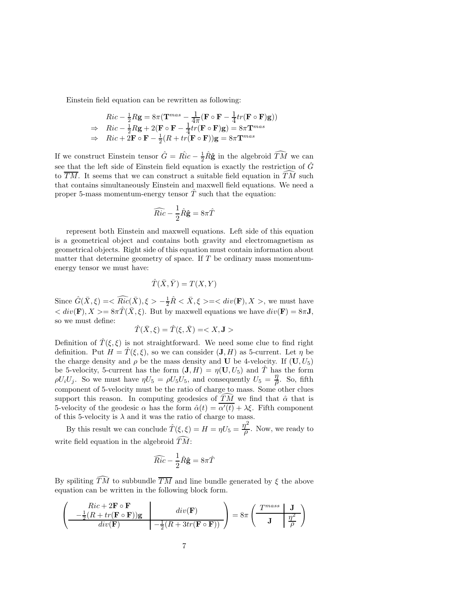Einstein field equation can be rewritten as following:

$$
Ric - \frac{1}{2}Rg = 8\pi (\mathbf{T}^{mas} - \frac{1}{4\pi} (\mathbf{F} \circ \mathbf{F} - \frac{1}{4}tr(\mathbf{F} \circ \mathbf{F})g))
$$
  
\n
$$
\Rightarrow Ric - \frac{1}{2}Rg + 2(\mathbf{F} \circ \mathbf{F} - \frac{1}{4}tr(\mathbf{F} \circ \mathbf{F})g) = 8\pi \mathbf{T}^{mas}
$$
  
\n
$$
\Rightarrow Ric + 2\mathbf{F} \circ \mathbf{F} - \frac{1}{2}(R + tr(\mathbf{F} \circ \mathbf{F}))g = 8\pi \mathbf{T}^{mas}
$$

If we construct Einstein tensor  $\hat{G} = \hat{Ric} - \frac{1}{2}\hat{R}\hat{g}$  in the algebroid  $\widehat{T}M$  we can see that the left side of Einstein field equation is exactly the restriction of  $\hat{G}$ to  $\overline{TM}$ . It seems that we can construct a suitable field equation in TM such that contains simultaneously Einstein and maxwell field equations. We need a proper 5-mass momentum-energy tensor  $\overline{T}$  such that the equation:

$$
\widehat{Ric} - \frac{1}{2}\hat{R}\hat{\mathbf{g}} = 8\pi\hat{T}
$$

represent both Einstein and maxwell equations. Left side of this equation is a geometrical object and contains both gravity and electromagnetism as geometrical objects. Right side of this equation must contain information about matter that determine geometry of space. If  $T$  be ordinary mass momentumenergy tensor we must have:

$$
\hat{T}(\bar{X}, \bar{Y}) = T(X, Y)
$$

Since  $\hat{G}(\bar{X},\xi) = \langle \widehat{Ric}(\bar{X}), \xi \rangle - \frac{1}{2}\hat{R} \langle \bar{X}, \xi \rangle = \langle \ div(\mathbf{F}), X \rangle$ , we must have  $\langle div(\mathbf{F}), X \rangle = 8\pi \hat{T}(\bar{X}, \xi)$ . But by maxwell equations we have  $div(\mathbf{F}) = 8\pi \mathbf{J}$ , so we must define:

$$
\hat{T}(\bar{X},\xi) = \hat{T}(\xi,\bar{X}) =
$$

Definition of  $\hat{T}(\xi,\xi)$  is not straightforward. We need some clue to find right definition. Put  $H = T(\xi, \xi)$ , so we can consider  $(J, H)$  as 5-current. Let  $\eta$  be the charge density and  $\rho$  be the mass density and **U** be 4-velocity. If  $(U, U_5)$ be 5-velocity, 5-current has the form  $(\mathbf{J}, H) = \eta(\mathbf{U}, U_5)$  and T has the form  $\rho U_i U_j$ . So we must have  $\eta U_5 = \rho U_5 U_5$ , and consequently  $U_5 = \frac{\eta}{\rho}$  $\frac{\eta}{\rho}$ . So, fifth component of 5-velocity must be the ratio of charge to mass. Some other clues support this reason. In computing geodesics of TM we find that  $\hat{\alpha}$  that is 5-velocity of the geodesic  $\alpha$  has the form  $\hat{\alpha}(t) = \alpha'(t) + \lambda \xi$ . Fifth component of this 5-velocity is  $\lambda$  and it was the ratio of charge to mass.

By this result we can conclude  $\hat{T}(\xi,\xi) = H = \eta U_5 = \frac{\eta^2}{\rho}$  $\frac{L}{\rho}$ . Now, we ready to write field equation in the algebroid  $\widehat{T}\widehat{M}$ :

$$
\widehat{Ric} - \frac{1}{2}\hat{R}\hat{\mathbf{g}} = 8\pi\hat{T}
$$

By spiliting  $\widehat{TM}$  to subbundle  $\overline{TM}$  and line bundle generated by  $\xi$  the above equation can be written in the following block form.

$$
\left(\begin{array}{c|c} Ric + 2{\bf F}\circ {\bf F} & div({\bf F}) \\ \hline -\frac{1}{2}(R+tr({\bf F}\circ {\bf F})){\bf g} & -\frac{1}{2}(R+3tr({\bf F}\circ {\bf F})) \end{array}\right) = 8\pi\left(\begin{array}{c|c} T^{mass} & {\bf J} \\ \hline {\bf J} & \frac{\eta^2}{\rho} \end{array}\right)
$$